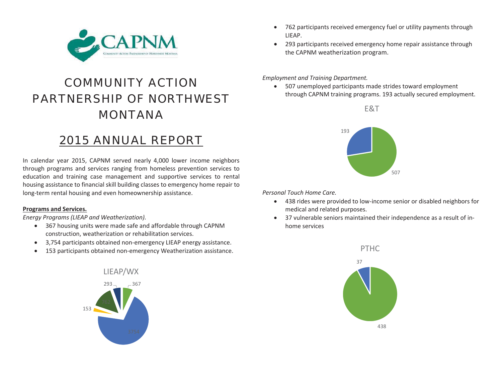

# COMMUNITY ACTION PARTNERSHIP OF NORTHWEST MONTANA

# 2015 ANNUAL REPORT

In calendar year 2015, CAPNM served nearly 4,000 lower income neighbors through programs and services ranging from homeless prevention services to education and training case management and supportive services to rental housing assistance to financial skill building classes to emergency home repair to long-term rental housing and even homeownership assistance.

#### **Programs and Services.**

*Energy Programs (LIEAP and Weatherization).* 

- 367 housing units were made safe and affordable through CAPNM construction, weatherization or rehabilitation services.
- 3,754 participants obtained non-emergency LIEAP energy assistance.
- $\bullet$ 153 participants obtained non-emergency Weatherization assistance.



- 762 participants received emergency fuel or utility payments through LIEAP.
- $\bullet$  293 participants received emergency home repair assistance through the CAPNM weatherization program.

*Employment and Training Department.* 

 $\bullet$  507 unemployed participants made strides toward employment through CAPNM training programs. 193 actually secured employment.





*Personal Touch Home Care.* 

- 438 rides were provided to low-income senior or disabled neighbors for medical and related purposes.
- $\bullet$  37 vulnerable seniors maintained their independence as a result of inhome services

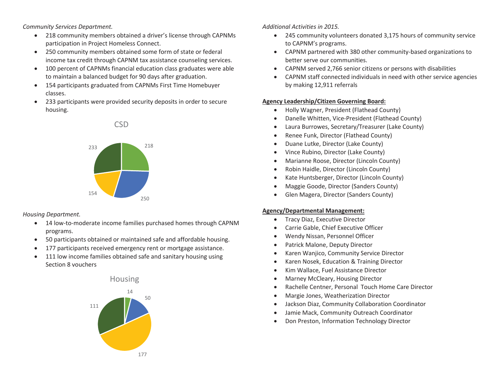*Community Services Department.* 

- $\bullet$  218 community members obtained a driver's license through CAPNMs participation in Project Homeless Connect.
- 250 community members obtained some form of state or federal income tax credit through CAPNM tax assistance counseling services.
- 100 percent of CAPNMs financial education class graduates were able to maintain a balanced budget for 90 days after graduation.
- 154 participants graduated from CAPNMs First Time Homebuyer classes.
- $\bullet$  233 participants were provided security deposits in order to secure housing.



*Housing Department.* 

- 14 low-to-moderate income families purchased homes through CAPNM programs.
- 0 50 participants obtained or maintained safe and affordable housing.
- 0 177 participants received emergency rent or mortgage assistance.
- $\bullet$  111 low income families obtained safe and sanitary housing using Section 8 vouchers

## Housing



#### *Additional Activities in 2015.*

- $\bullet$  245 community volunteers donated 3,175 hours of community service to CAPNM's programs.
- CAPNM partnered with 380 other community-based organizations to better serve our communities.
- $\bullet$ CAPNM served 2,766 senior citizens or persons with disabilities
- $\bullet$  CAPNM staff connected individuals in need with other service agencies by making 12,911 referrals

#### **Agency Leadership/Citizen Governing Board:**

- $\bullet$ Holly Wagner, President (Flathead County)
- $\bullet$ Danelle Whitten, Vice-President (Flathead County)
- $\bullet$ Laura Burrowes, Secretary/Treasurer (Lake County)
- $\bullet$ Renee Funk, Director (Flathead County)
- $\bullet$ Duane Lutke, Director (Lake County)
- $\bullet$ Vince Rubino, Director (Lake County)
- $\bullet$ Marianne Roose, Director (Lincoln County)
- $\bullet$ Robin Haidle, Director (Lincoln County)
- $\bullet$ Kate Huntsberger, Director (Lincoln County)
- $\bullet$ Maggie Goode, Director (Sanders County)
- $\bullet$ Glen Magera, Director (Sanders County)

#### **Agency/Departmental Management:**

- **Tracy Diaz, Executive Director**
- 0 Carrie Gable, Chief Executive Officer
- $\bullet$ Wendy Nissan, Personnel Officer
- $\bullet$ Patrick Malone, Deputy Director
- $\bullet$ Karen Wanjico, Community Service Director
- $\bullet$ Karen Nosek, Education & Training Director
- 0 Kim Wallace, Fuel Assistance Director
- $\bullet$ Marney McCleary, Housing Director
- $\bullet$ Rachelle Centner, Personal Touch Home Care Director
- $\bullet$ Margie Jones, Weatherization Director
- $\bullet$ Jackson Diaz, Community Collaboration Coordinator
- 0 Jamie Mack, Community Outreach Coordinator
- $\bullet$ Don Preston, Information Technology Director